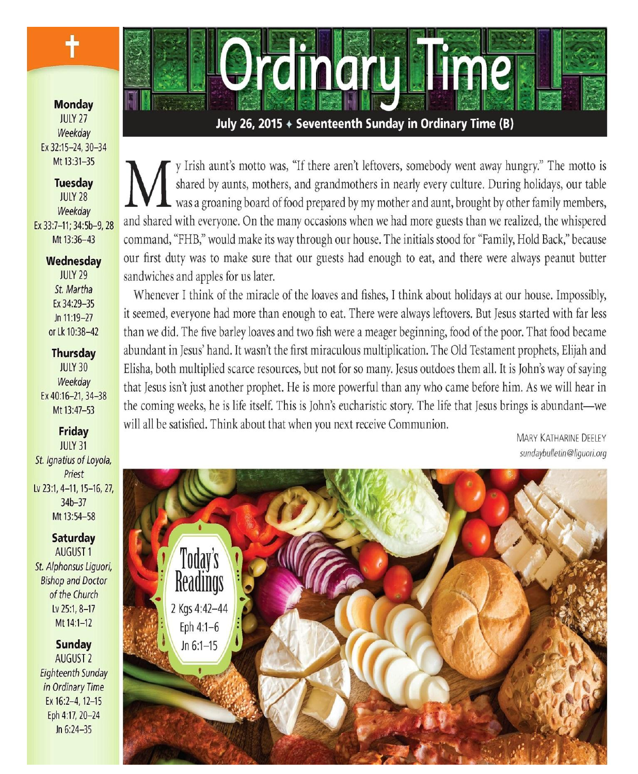**Monday JULY 27** Weekdav Ex 32:15-24, 30-34 Mt 13:31-35

╉

**Tuesday JULY 28** Weekday Ex 33:7-11; 34:5b-9, 28 Mt 13:36-43

### Wednesday

**IIIIY 29** St. Martha Ex 34:29-35 Jn 11:19-27 or Lk 10:38-42

### **Thursday**

**JULY 30** Weekdav Ex 40:16-21, 34-38 Mt 13:47-53

## **Friday**

**JULY 31** St. Ignatius of Loyola, Priest Lv 23:1, 4-11, 15-16, 27,  $34b - 37$ Mt 13:54-58

## Saturday **AUGUST1** St. Alphonsus Liquori, **Bishop and Doctor**

of the Church Lv 25:1, 8-17 Mt 14:1-12

#### **Sunday** AUGUST<sub>2</sub>

**Eighteenth Sunday** in Ordinary Time Ex 16:2-4, 12-15 Eph 4:17, 20-24 Jn 6:24-35



July 26, 2015 + Seventeenth Sunday in Ordinary Time (B)

y Irish aunt's motto was, "If there aren't leftovers, somebody went away hungry." The motto is shared by aunts, mothers, and grandmothers in nearly every culture. During holidays, our table  $\mathsf{\mathsf{L}}$  was a groaning board of food prepared by my mother and aunt, brought by other family members, and shared with everyone. On the many occasions when we had more guests than we realized, the whispered command, "FHB," would make its way through our house. The initials stood for "Family, Hold Back," because our first duty was to make sure that our guests had enough to eat, and there were always peanut butter sandwiches and apples for us later.

Whenever I think of the miracle of the loaves and fishes, I think about holidays at our house. Impossibly, it seemed, everyone had more than enough to eat. There were always leftovers. But Jesus started with far less than we did. The five barley loaves and two fish were a meager beginning, food of the poor. That food became abundant in Jesus' hand. It wasn't the first miraculous multiplication. The Old Testament prophets, Elijah and Elisha, both multiplied scarce resources, but not for so many. Jesus outdoes them all. It is John's way of saying that Jesus isn't just another prophet. He is more powerful than any who came before him. As we will hear in the coming weeks, he is life itself. This is John's eucharistic story. The life that Jesus brings is abundant—we will all be satisfied. Think about that when you next receive Communion.

**MARY KATHARINE DEELEY** sundaybulletin@liquori.org

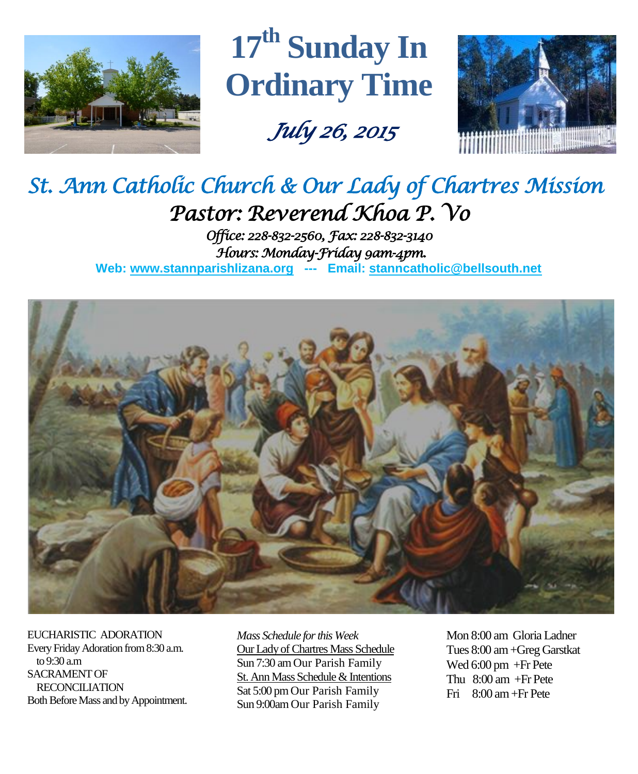

**17 th Sunday In Ordinary Time**

 *July 26, 2015* 



# *St. Ann Catholic Church & Our Lady of Chartres Mission Pastor: Reverend Khoa P. Vo*

*Office: 228-832-2560, Fax: 228-832-3140 Hours: Monday-Friday 9am-4pm.*  **Web: www.stannparishlizana.org --- Email: [stanncatholic@bellsouth.net](mailto:stanncatholic@bellsouth.net)**



EUCHARISTIC ADORATION Every Friday Adoration from 8:30 a.m. to 9:30 a.m SACRAMENT OF RECONCILIATION Both Before Mass and by Appointment.

*Mass Schedule for this Week*  Our Lady of Chartres Mass Schedule Sun 7:30 am Our Parish Family St. Ann Mass Schedule & Intentions Sat 5:00 pm Our Parish Family Sun 9:00am Our Parish Family

Mon 8:00 am Gloria Ladner Tues 8:00 am +Greg Garstkat Wed 6:00 pm +Fr Pete Thu 8:00 am +Fr Pete Fri 8:00 am+Fr Pete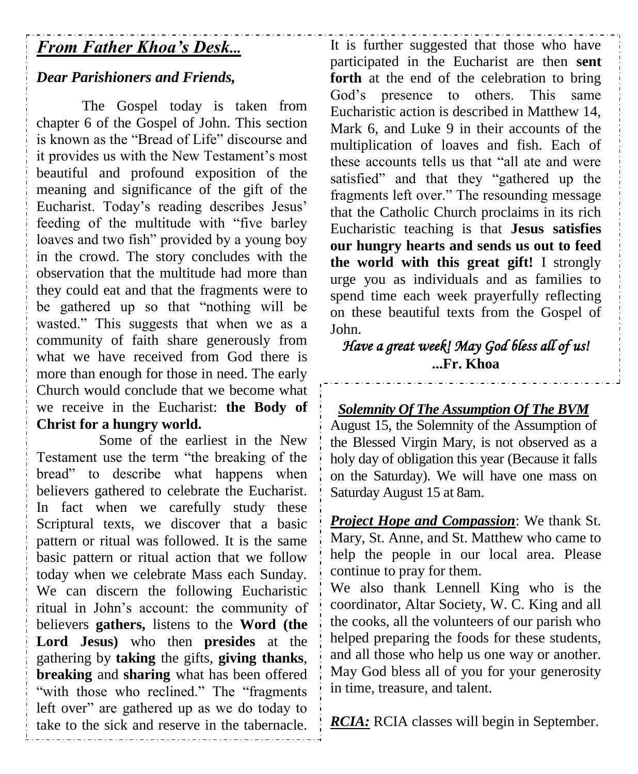# *From Father Khoa's Desk...*

# *Dear Parishioners and Friends,*

The Gospel today is taken from chapter 6 of the Gospel of John. This section is known as the "Bread of Life" discourse and it provides us with the New Testament's most beautiful and profound exposition of the meaning and significance of the gift of the Eucharist. Today's reading describes Jesus' feeding of the multitude with "five barley loaves and two fish" provided by a young boy in the crowd. The story concludes with the observation that the multitude had more than they could eat and that the fragments were to be gathered up so that "nothing will be wasted." This suggests that when we as a community of faith share generously from what we have received from God there is more than enough for those in need. The early Church would conclude that we become what we receive in the Eucharist: **the Body of Christ for a hungry world.**

Some of the earliest in the New Testament use the term "the breaking of the bread" to describe what happens when believers gathered to celebrate the Eucharist. In fact when we carefully study these Scriptural texts, we discover that a basic pattern or ritual was followed. It is the same basic pattern or ritual action that we follow today when we celebrate Mass each Sunday. We can discern the following Eucharistic ritual in John's account: the community of believers **gathers,** listens to the **Word (the Lord Jesus)** who then **presides** at the gathering by **taking** the gifts, **giving thanks**, **breaking** and **sharing** what has been offered "with those who reclined." The "fragments" left over" are gathered up as we do today to take to the sick and reserve in the tabernacle. It is further suggested that those who have participated in the Eucharist are then **sent forth** at the end of the celebration to bring God's presence to others. This same Eucharistic action is described in Matthew 14, Mark 6, and Luke 9 in their accounts of the multiplication of loaves and fish. Each of these accounts tells us that "all ate and were satisfied" and that they "gathered up the fragments left over." The resounding message that the Catholic Church proclaims in its rich Eucharistic teaching is that **Jesus satisfies our hungry hearts and sends us out to feed the world with this great gift!** I strongly urge you as individuals and as families to spend time each week prayerfully reflecting on these beautiful texts from the Gospel of John.

*Have a great week! May God bless all of us!*  **...Fr. Khoa**

# *Solemnity Of The Assumption Of The BVM*

August 15, the Solemnity of the Assumption of the Blessed Virgin Mary, is not observed as a holy day of obligation this year (Because it falls on the Saturday). We will have one mass on Saturday August 15 at 8am.

*Project Hope and Compassion*: We thank St. Mary, St. Anne, and St. Matthew who came to help the people in our local area. Please continue to pray for them.

We also thank Lennell King who is the coordinator, Altar Society, W. C. King and all the cooks, all the volunteers of our parish who helped preparing the foods for these students, and all those who help us one way or another. May God bless all of you for your generosity in time, treasure, and talent.

*RCIA:* RCIA classes will begin in September.